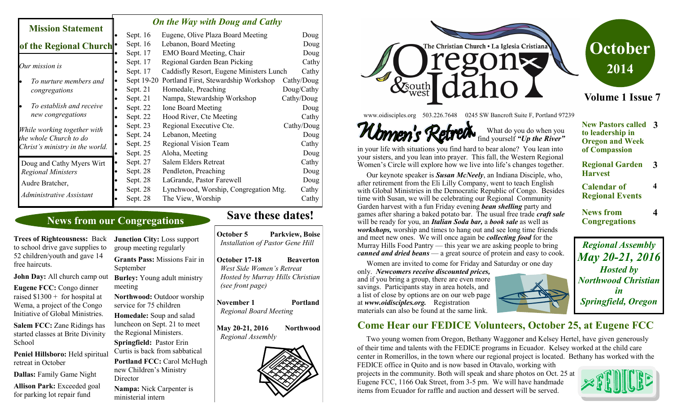#### *On the Way with Doug and Cathy*

| <b>Mission Statement</b>                                                                              |  |            | $\cdots$ $\cdots$ $\cdots$ $\cdots$ $\cdots$ $\cdots$ |            |
|-------------------------------------------------------------------------------------------------------|--|------------|-------------------------------------------------------|------------|
|                                                                                                       |  | Sept. 16   | Eugene, Olive Plaza Board Meeting                     | Doug       |
| of the Regional Church                                                                                |  | Sept. 16   | Lebanon, Board Meeting                                | Doug       |
|                                                                                                       |  | Sept. 17   | <b>EMO Board Meeting, Chair</b>                       | Doug       |
| Our mission is                                                                                        |  | Sept. 17   | Regional Garden Bean Picking                          | Cathy      |
|                                                                                                       |  | Sept. 17   | Caddisfly Resort, Eugene Ministers Lunch              | Cathy      |
| To nurture members and<br>congregations                                                               |  | Sept 19-20 | Portland First, Stewardship Workshop                  | Cathy/Doug |
|                                                                                                       |  | Sept. 21   | Homedale, Preaching                                   | Doug/Cathy |
| To establish and receive<br>new congregations                                                         |  | Sept. 21   | Nampa, Stewardship Workshop                           | Cathy/Doug |
|                                                                                                       |  | Sept. 22   | <b>Ione Board Meeting</b>                             | Doug       |
|                                                                                                       |  | Sept. 22   | Hood River, Cte Meeting                               | Cathy      |
| While working together with<br>the whole Church to do<br>Christ's ministry in the world.              |  | Sept. 23   | Regional Executive Cte.                               | Cathy/Doug |
|                                                                                                       |  | Sept. 24   | Lebanon, Meeting                                      | Doug       |
|                                                                                                       |  | Sept. 25   | Regional Vision Team                                  | Cathy      |
|                                                                                                       |  | Sept. 25   | Aloha, Meeting                                        | Doug       |
| Doug and Cathy Myers Wirt<br><b>Regional Ministers</b><br>Audre Bratcher,<br>Administrative Assistant |  | Sept. 27   | Salem Elders Retreat                                  | Cathy      |
|                                                                                                       |  | Sept. 28   | Pendleton, Preaching                                  | Doug       |
|                                                                                                       |  | Sept. 28   | LaGrande, Pastor Farewell                             | Doug       |
|                                                                                                       |  | Sept. 28   | Lynchwood, Worship, Congregation Mtg.                 | Cathy      |
|                                                                                                       |  | Sept. 28   | The View, Worship                                     | Cathy      |
|                                                                                                       |  |            |                                                       |            |

#### **News from our Congregations**

**Trees of Righteousness:** Back to school drive gave supplies to 52 children/youth and gave 14 free haircuts.

**John Day:** All church camp out

**Eugene FCC:** Congo dinner raised  $$1300 +$  for hospital at Wema, a project of the Congo Initiative of Global Ministries.

**Salem FCC:** Zane Ridings has started classes at Brite Divinity School

**Peniel Hillsboro:** Held spiritual retreat in October

**Dallas:** Family Game Night

**Allison Park:** Exceeded goal for parking lot repair fund

group meeting regularly **Grants Pass:** Missions Fair in September **Burley:** Young adult ministry meeting **Northwood:** Outdoor worship service for 75 children **Homedale:** Soup and salad luncheon on Sept. 21 to meet

**Junction City:** Loss support

the Regional Ministers. **Springfield:** Pastor Erin Curtis is back from sabbatical **Portland FCC:** Carol McHugh new Children's Ministry **Director** 

**Nampa:** Nick Carpenter is ministerial intern

## **Save these dates!**

**October 5 Parkview, Boise** *Installation of Pastor Gene Hill*

**October 17-18 Beaverton**  *West Side Women's Retreat Hosted by Murray Hills Christian (see front page)* 

**November 1** Portland *Regional Board Meeting*

**May 20-21, 2016 Northwood** *Regional Assembly*





www.oidisciples.org 503.226.7648 0245 SW Bancroft Suite F, Portland 97239



 What do you do when you find yourself *"Up the River"* 

in your life with situations you find hard to bear alone? You lean into your sisters, and you lean into prayer. This fall, the Western Regional Women's Circle will explore how we live into life's changes together.

 Our keynote speaker is *Susan McNeely*, an Indiana Disciple, who, after retirement from the Eli Lilly Company, went to teach English with Global Ministries in the Democratic Republic of Congo. Besides time with Susan, we will be celebrating our Regional Community Garden harvest with a fun Friday evening *bean shelling* party and games after sharing a baked potato bar. The usual free trade *craft sale*  will be ready for you, an *Italian Soda bar,* a *book sale* as well as *workshops,* worship and times to hang out and see long time friends and meet new ones. We will once again be *collecting food* for the Murray Hills Food Pantry — this year we are asking people to bring *canned and dried beans* — a great source of protein and easy to cook.

 Women are invited to come for Friday and Saturday or one day only. *Newcomers receive discounted prices,*  and if you bring a group, there are even more savings. Participants stay in area hotels, and a list of close by options are on our web page at *www.oidisciples.org.* Registration materials can also be found at the same link.

**Come Hear our FEDICE Volunteers, October 25, at Eugene FCC**

 Two young women from Oregon, Bethany Waggoner and Kelsey Hertel, have given generously of their time and talents with the FEDICE programs in Ecuador. Kelsey worked at the child care center in Romerillos, in the town where our regional project is located. Bethany has worked with the

FEDICE office in Quito and is now based in Otavalo, working with projects in the community. Both will speak and share photos on Oct. 25 at Eugene FCC, 1166 Oak Street, from 3-5 pm. We will have handmade items from Ecuador for raffle and auction and dessert will be served.



**News from Congregations 4** *Regional Assembly May 20-21, 2016*

**Volume 1 Issue 7**

**October** 

**2014**

**New Pastors called 3**

**Regional Garden 3**

**4**

**to leadership in Oregon and Week of Compassion**

**Harvest**

**Calendar of Regional Events**